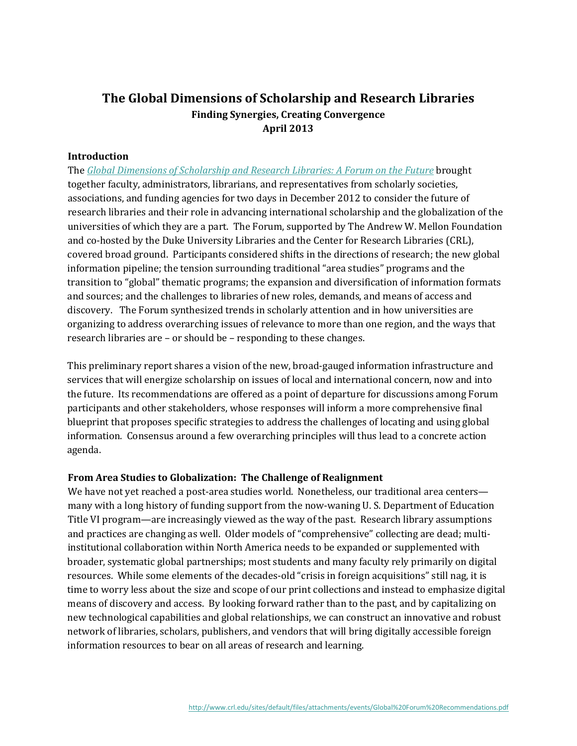# **The Global Dimensions of Scholarship and Research Libraries Finding Synergies, Creating Convergence April 2013**

#### **Introduction**

The *Global Dimensions of [Scholarship](http://www.crl.edu/events/8478) and Research Libraries: A Forum on the Future* brought together faculty, administrators, librarians, and representatives from scholarly societies, associations, and funding agencies for two days in December 2012 to consider the future of research libraries and their role in advancing international scholarship and the globalization of the universities of which they are a part. The Forum, supported by The Andrew W. Mellon Foundation and co-hosted by the Duke University Libraries and the Center for Research Libraries (CRL), covered broad ground. Participants considered shifts in the directions of research; the new global information pipeline; the tension surrounding traditional "area studies" programs and the transition to "global" thematic programs; the expansion and diversification of information formats and sources; and the challenges to libraries of new roles, demands, and means of access and discovery. The Forum synthesized trends in scholarly attention and in how universities are organizing to address overarching issues of relevance to more than one region, and the ways that research libraries are – or should be – responding to these changes.

This preliminary report shares a vision of the new, broad-gauged information infrastructure and services that will energize scholarship on issues of local and international concern, now and into the future. Its recommendations are offered as a point of departure for discussions among Forum participants and other stakeholders, whose responses will inform a more comprehensive final blueprint that proposes specific strategies to address the challenges of locating and using global information. Consensus around a few overarching principles will thus lead to a concrete action agenda.

#### **From Area Studies to Globalization: The Challenge of Realignment**

We have not yet reached a post-area studies world. Nonetheless, our traditional area centers many with a long history of funding support from the now-waning U. S. Department of Education Title VI program—are increasingly viewed as the way of the past. Research library assumptions and practices are changing as well. Older models of "comprehensive" collecting are dead; multiinstitutional collaboration within North America needs to be expanded or supplemented with broader, systematic global partnerships; most students and many faculty rely primarily on digital resources. While some elements of the decades-old "crisis in foreign acquisitions" still nag, it is time to worry less about the size and scope of our print collections and instead to emphasize digital means of discovery and access. By looking forward rather than to the past, and by capitalizing on new technological capabilities and global relationships, we can construct an innovative and robust network of libraries, scholars, publishers, and vendors that will bring digitally accessible foreign information resources to bear on all areas of research and learning.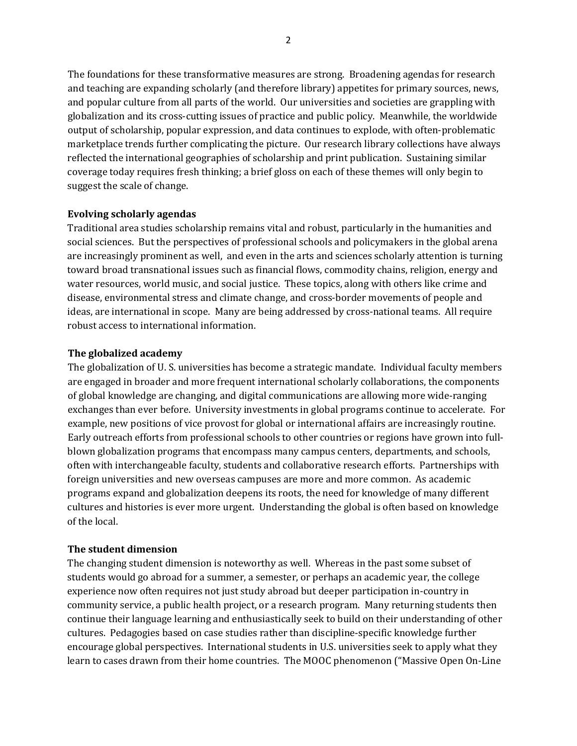The foundations for these transformative measures are strong. Broadening agendas for research and teaching are expanding scholarly (and therefore library) appetites for primary sources, news, and popular culture from all parts of the world. Our universities and societies are grappling with globalization and its cross-cutting issues of practice and public policy. Meanwhile, the worldwide output of scholarship, popular expression, and data continues to explode, with often-problematic marketplace trends further complicating the picture. Our research library collections have always reflected the international geographies of scholarship and print publication. Sustaining similar coverage today requires fresh thinking; a brief gloss on each of these themes will only begin to suggest the scale of change.

# **Evolving scholarly agendas**

Traditional area studies scholarship remains vital and robust, particularly in the humanities and social sciences. But the perspectives of professional schools and policymakers in the global arena are increasingly prominent as well, and even in the arts and sciences scholarly attention is turning toward broad transnational issues such as financial flows, commodity chains, religion, energy and water resources, world music, and social justice. These topics, along with others like crime and disease, environmental stress and climate change, and cross-border movements of people and ideas, are international in scope. Many are being addressed by cross-national teams. All require robust access to international information.

### **The globalized academy**

The globalization of U. S. universities has become a strategic mandate. Individual faculty members are engaged in broader and more frequent international scholarly collaborations, the components of global knowledge are changing, and digital communications are allowing more wide-ranging exchanges than ever before. University investments in global programs continue to accelerate. For example, new positions of vice provost for global or international affairs are increasingly routine. Early outreach efforts from professional schools to other countries or regions have grown into fullblown globalization programs that encompass many campus centers, departments, and schools, often with interchangeable faculty, students and collaborative research efforts. Partnerships with foreign universities and new overseas campuses are more and more common. As academic programs expand and globalization deepens its roots, the need for knowledge of many different cultures and histories is ever more urgent. Understanding the global is often based on knowledge of the local.

# **The student dimension**

The changing student dimension is noteworthy as well. Whereas in the past some subset of students would go abroad for a summer, a semester, or perhaps an academic year, the college experience now often requires not just study abroad but deeper participation in-country in community service, a public health project, or a research program. Many returning students then continue their language learning and enthusiastically seek to build on their understanding of other cultures. Pedagogies based on case studies rather than discipline-specific knowledge further encourage global perspectives. International students in U.S. universities seek to apply what they learn to cases drawn from their home countries. The MOOC phenomenon ("Massive Open On-Line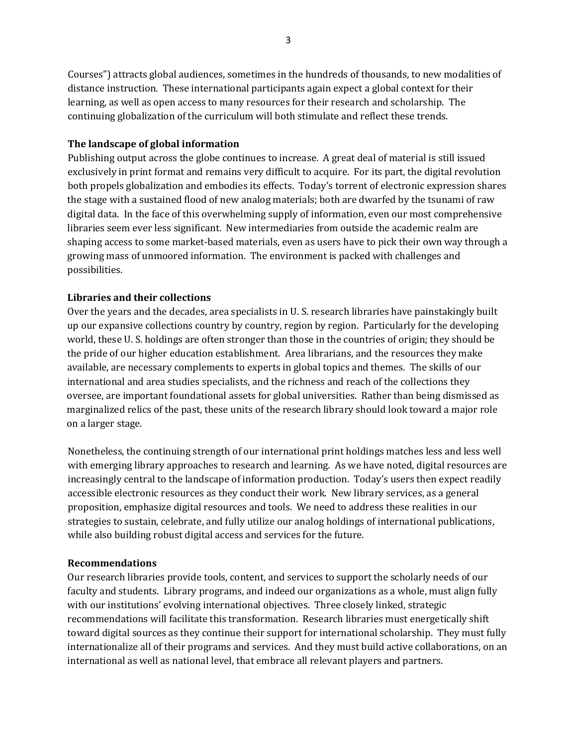Courses") attracts global audiences, sometimes in the hundreds of thousands, to new modalities of distance instruction. These international participants again expect a global context for their learning, as well as open access to many resources for their research and scholarship. The continuing globalization of the curriculum will both stimulate and reflect these trends.

### **The landscape of global information**

Publishing output across the globe continues to increase. A great deal of material is still issued exclusively in print format and remains very difficult to acquire. For its part, the digital revolution both propels globalization and embodies its effects. Today's torrent of electronic expression shares the stage with a sustained flood of new analog materials; both are dwarfed by the tsunami of raw digital data. In the face of this overwhelming supply of information, even our most comprehensive libraries seem ever less significant. New intermediaries from outside the academic realm are shaping access to some market-based materials, even as users have to pick their own way through a growing mass of unmoored information. The environment is packed with challenges and possibilities.

# **Libraries and their collections**

Over the years and the decades, area specialists in U. S. research libraries have painstakingly built up our expansive collections country by country, region by region. Particularly for the developing world, these U. S. holdings are often stronger than those in the countries of origin; they should be the pride of our higher education establishment. Area librarians, and the resources they make available, are necessary complements to experts in global topics and themes. The skills of our international and area studies specialists, and the richness and reach of the collections they oversee, are important foundational assets for global universities. Rather than being dismissed as marginalized relics of the past, these units of the research library should look toward a major role on a larger stage.

Nonetheless, the continuing strength of our international print holdings matches less and less well with emerging library approaches to research and learning. As we have noted, digital resources are increasingly central to the landscape of information production. Today's users then expect readily accessible electronic resources as they conduct their work. New library services, as a general proposition, emphasize digital resources and tools. We need to address these realities in our strategies to sustain, celebrate, and fully utilize our analog holdings of international publications, while also building robust digital access and services for the future.

#### **Recommendations**

Our research libraries provide tools, content, and services to support the scholarly needs of our faculty and students. Library programs, and indeed our organizations as a whole, must align fully with our institutions' evolving international objectives. Three closely linked, strategic recommendations will facilitate this transformation. Research libraries must energetically shift toward digital sources as they continue their support for international scholarship. They must fully internationalize all of their programs and services. And they must build active collaborations, on an international as well as national level, that embrace all relevant players and partners.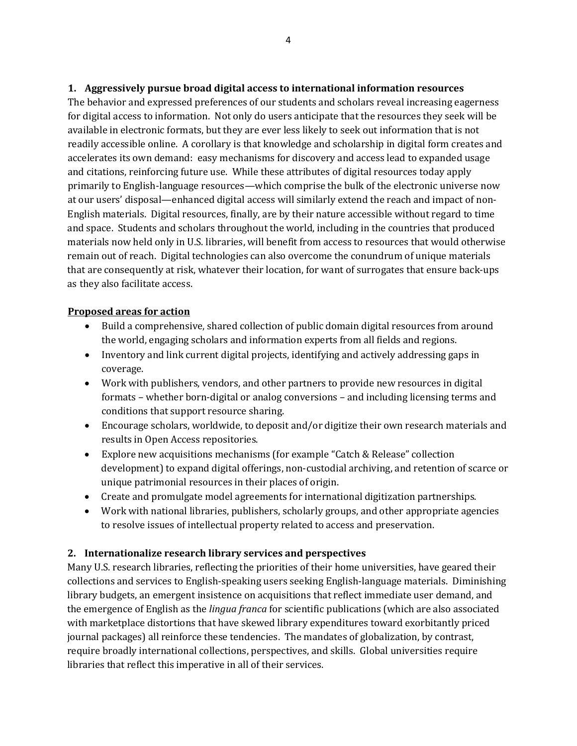The behavior and expressed preferences of our students and scholars reveal increasing eagerness for digital access to information. Not only do users anticipate that the resources they seek will be available in electronic formats, but they are ever less likely to seek out information that is not readily accessible online. A corollary is that knowledge and scholarship in digital form creates and accelerates its own demand: easy mechanisms for discovery and access lead to expanded usage and citations, reinforcing future use. While these attributes of digital resources today apply primarily to English-language resources—which comprise the bulk of the electronic universe now at our users' disposal—enhanced digital access will similarly extend the reach and impact of non-English materials. Digital resources, finally, are by their nature accessible without regard to time and space. Students and scholars throughout the world, including in the countries that produced materials now held only in U.S. libraries, will benefit from access to resources that would otherwise remain out of reach. Digital technologies can also overcome the conundrum of unique materials that are consequently at risk, whatever their location, for want of surrogates that ensure back-ups as they also facilitate access.

# **Proposed areas for action**

- Build a comprehensive, shared collection of public domain digital resources from around the world, engaging scholars and information experts from all fields and regions.
- Inventory and link current digital projects, identifying and actively addressing gaps in coverage.
- Work with publishers, vendors, and other partners to provide new resources in digital formats – whether born-digital or analog conversions – and including licensing terms and conditions that support resource sharing.
- Encourage scholars, worldwide, to deposit and/or digitize their own research materials and results in Open Access repositories.
- Explore new acquisitions mechanisms (for example "Catch & Release" collection development) to expand digital offerings, non-custodial archiving, and retention of scarce or unique patrimonial resources in their places of origin.
- Create and promulgate model agreements for international digitization partnerships.
- Work with national libraries, publishers, scholarly groups, and other appropriate agencies to resolve issues of intellectual property related to access and preservation.

# **2. Internationalize research library services and perspectives**

Many U.S. research libraries, reflecting the priorities of their home universities, have geared their collections and services to English-speaking users seeking English-language materials. Diminishing library budgets, an emergent insistence on acquisitions that reflect immediate user demand, and the emergence of English as the *lingua franca* for scientific publications (which are also associated with marketplace distortions that have skewed library expenditures toward exorbitantly priced journal packages) all reinforce these tendencies. The mandates of globalization, by contrast, require broadly international collections, perspectives, and skills. Global universities require libraries that reflect this imperative in all of their services.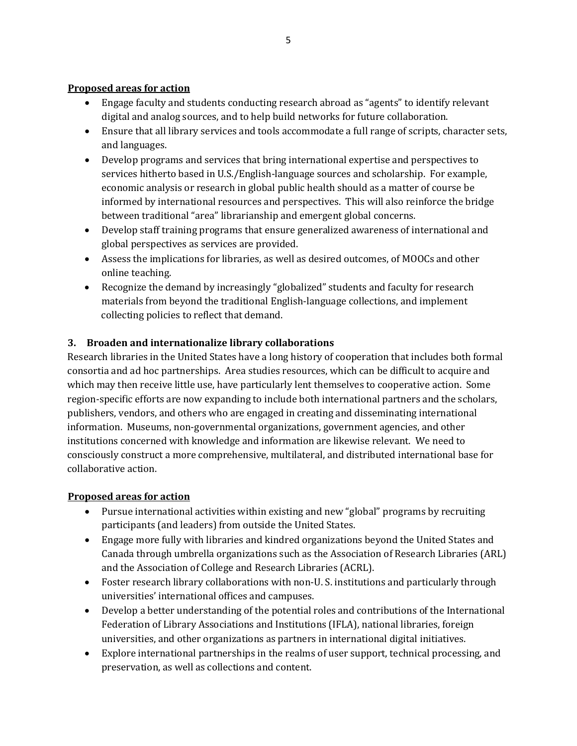# **Proposed areas for action**

- Engage faculty and students conducting research abroad as "agents" to identify relevant digital and analog sources, and to help build networks for future collaboration.
- Ensure that all library services and tools accommodate a full range of scripts, character sets, and languages.
- Develop programs and services that bring international expertise and perspectives to services hitherto based in U.S./English-language sources and scholarship. For example, economic analysis or research in global public health should as a matter of course be informed by international resources and perspectives. This will also reinforce the bridge between traditional "area" librarianship and emergent global concerns.
- Develop staff training programs that ensure generalized awareness of international and global perspectives as services are provided.
- Assess the implications for libraries, as well as desired outcomes, of MOOCs and other online teaching.
- Recognize the demand by increasingly "globalized" students and faculty for research materials from beyond the traditional English-language collections, and implement collecting policies to reflect that demand.

# **3. Broaden and internationalize library collaborations**

Research libraries in the United States have a long history of cooperation that includes both formal consortia and ad hoc partnerships. Area studies resources, which can be difficult to acquire and which may then receive little use, have particularly lent themselves to cooperative action. Some region-specific efforts are now expanding to include both international partners and the scholars, publishers, vendors, and others who are engaged in creating and disseminating international information. Museums, non-governmental organizations, government agencies, and other institutions concerned with knowledge and information are likewise relevant. We need to consciously construct a more comprehensive, multilateral, and distributed international base for collaborative action.

# **Proposed areas for action**

- Pursue international activities within existing and new "global" programs by recruiting participants (and leaders) from outside the United States.
- Engage more fully with libraries and kindred organizations beyond the United States and Canada through umbrella organizations such as the Association of Research Libraries (ARL) and the Association of College and Research Libraries (ACRL).
- Foster research library collaborations with non-U. S. institutions and particularly through universities' international offices and campuses.
- Develop a better understanding of the potential roles and contributions of the International Federation of Library Associations and Institutions (IFLA), national libraries, foreign universities, and other organizations as partners in international digital initiatives.
- Explore international partnerships in the realms of user support, technical processing, and preservation, as well as collections and content.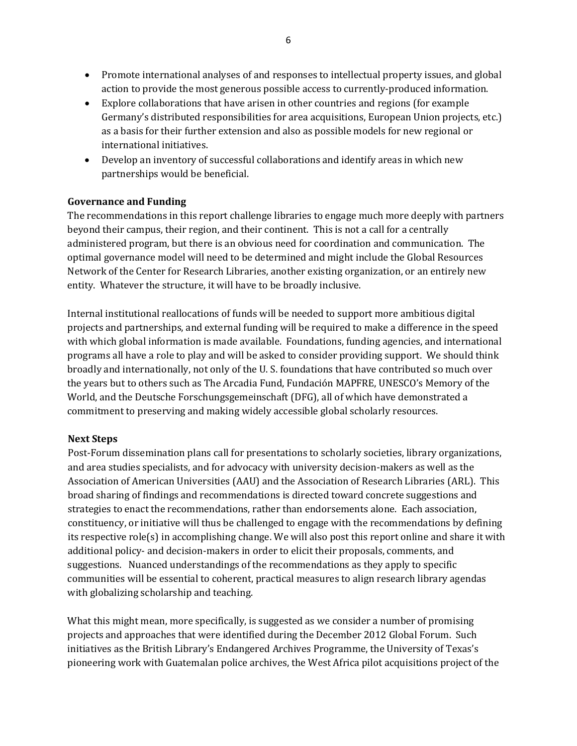- Promote international analyses of and responses to intellectual property issues, and global action to provide the most generous possible access to currently-produced information.
- Explore collaborations that have arisen in other countries and regions (for example Germany's distributed responsibilities for area acquisitions, European Union projects, etc.) as a basis for their further extension and also as possible models for new regional or international initiatives.
- Develop an inventory of successful collaborations and identify areas in which new partnerships would be beneficial.

# **Governance and Funding**

The recommendations in this report challenge libraries to engage much more deeply with partners beyond their campus, their region, and their continent. This is not a call for a centrally administered program, but there is an obvious need for coordination and communication. The optimal governance model will need to be determined and might include the Global Resources Network of the Center for Research Libraries, another existing organization, or an entirely new entity. Whatever the structure, it will have to be broadly inclusive.

Internal institutional reallocations of funds will be needed to support more ambitious digital projects and partnerships, and external funding will be required to make a difference in the speed with which global information is made available. Foundations, funding agencies, and international programs all have a role to play and will be asked to consider providing support. We should think broadly and internationally, not only of the U. S. foundations that have contributed so much over the years but to others such as The Arcadia Fund, Fundación MAPFRE, UNESCO's Memory of the World, and the Deutsche Forschungsgemeinschaft (DFG), all of which have demonstrated a commitment to preserving and making widely accessible global scholarly resources.

# **Next Steps**

Post-Forum dissemination plans call for presentations to scholarly societies, library organizations, and area studies specialists, and for advocacy with university decision-makers as well as the Association of American Universities (AAU) and the Association of Research Libraries (ARL). This broad sharing of findings and recommendations is directed toward concrete suggestions and strategies to enact the recommendations, rather than endorsements alone. Each association, constituency, or initiative will thus be challenged to engage with the recommendations by defining its respective role(s) in accomplishing change. We will also post this report online and share it with additional policy- and decision-makers in order to elicit their proposals, comments, and suggestions. Nuanced understandings of the recommendations as they apply to specific communities will be essential to coherent, practical measures to align research library agendas with globalizing scholarship and teaching.

What this might mean, more specifically, is suggested as we consider a number of promising projects and approaches that were identified during the December 2012 Global Forum. Such initiatives as the British Library's Endangered Archives Programme, the University of Texas's pioneering work with Guatemalan police archives, the West Africa pilot acquisitions project of the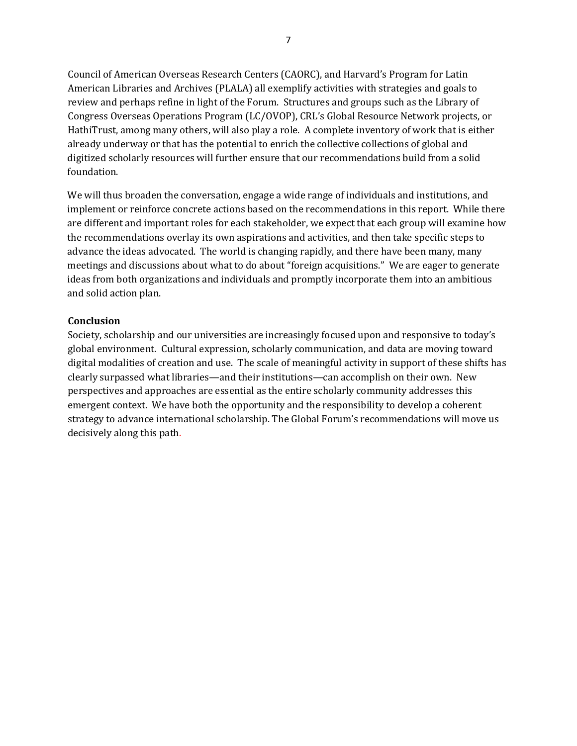Council of American Overseas Research Centers (CAORC), and Harvard's Program for Latin American Libraries and Archives (PLALA) all exemplify activities with strategies and goals to review and perhaps refine in light of the Forum. Structures and groups such as the Library of Congress Overseas Operations Program (LC/OVOP), CRL's Global Resource Network projects, or HathiTrust, among many others, will also play a role. A complete inventory of work that is either already underway or that has the potential to enrich the collective collections of global and digitized scholarly resources will further ensure that our recommendations build from a solid foundation.

We will thus broaden the conversation, engage a wide range of individuals and institutions, and implement or reinforce concrete actions based on the recommendations in this report. While there are different and important roles for each stakeholder, we expect that each group will examine how the recommendations overlay its own aspirations and activities, and then take specific steps to advance the ideas advocated. The world is changing rapidly, and there have been many, many meetings and discussions about what to do about "foreign acquisitions." We are eager to generate ideas from both organizations and individuals and promptly incorporate them into an ambitious and solid action plan.

#### **Conclusion**

Society, scholarship and our universities are increasingly focused upon and responsive to today's global environment. Cultural expression, scholarly communication, and data are moving toward digital modalities of creation and use. The scale of meaningful activity in support of these shifts has clearly surpassed what libraries—and their institutions—can accomplish on their own. New perspectives and approaches are essential as the entire scholarly community addresses this emergent context. We have both the opportunity and the responsibility to develop a coherent strategy to advance international scholarship. The Global Forum's recommendations will move us decisively along this path.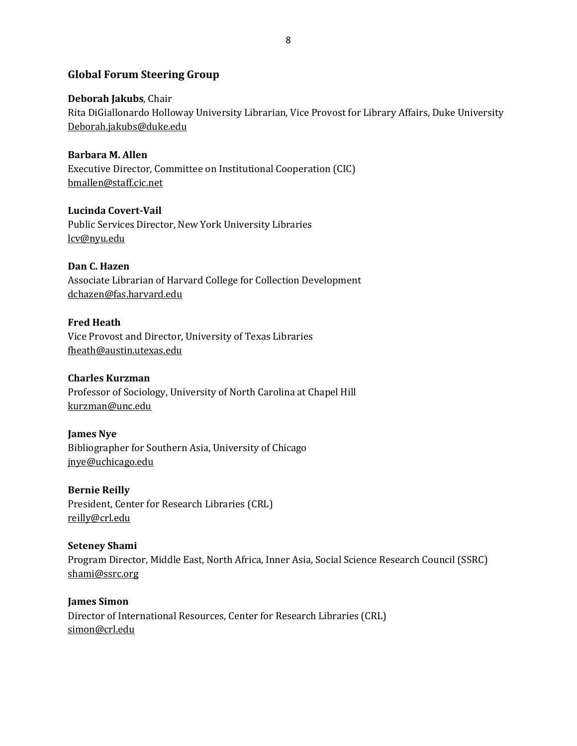# **Global Forum Steering Group**

**Deborah Jakubs**, Chair Rita DiGiallonardo Holloway University Librarian, Vice Provost for Library Affairs, Duke University Deborah.jakubs@duke.edu

**Barbara M. Allen** Executive Director, Committee on Institutional Cooperation (CIC) bmallen@staff.cic.net

**Lucinda Covert-Vail** Public Services Director, New York University Libraries lcv@nyu.edu

**Dan C. Hazen** Associate Librarian of Harvard College for Collection Development dchazen@fas.harvard.edu

**Fred Heath** Vice Provost and Director, University of Texas Libraries fheath@austin.utexas.edu

**Charles Kurzman** Professor of Sociology, University of North Carolina at Chapel Hill [kurzman@unc.edu](mailto:kurzman@unc.edu)

**James Nye** Bibliographer for Southern Asia, University of Chicago [jnye@uchicago.edu](mailto:jnye@uchicago.edu)

**Bernie Reilly** President, Center for Research Libraries (CRL) [reilly@crl.edu](mailto:reilly@crl.edu)

**Seteney Shami** Program Director, Middle East, North Africa, Inner Asia, Social Science Research Council (SSRC) [shami@ssrc.org](mailto:shami@ssrc.org) 

**James Simon** Director of International Resources, Center for Research Libraries (CRL) [simon@crl.edu](mailto:simon@crl.edu)